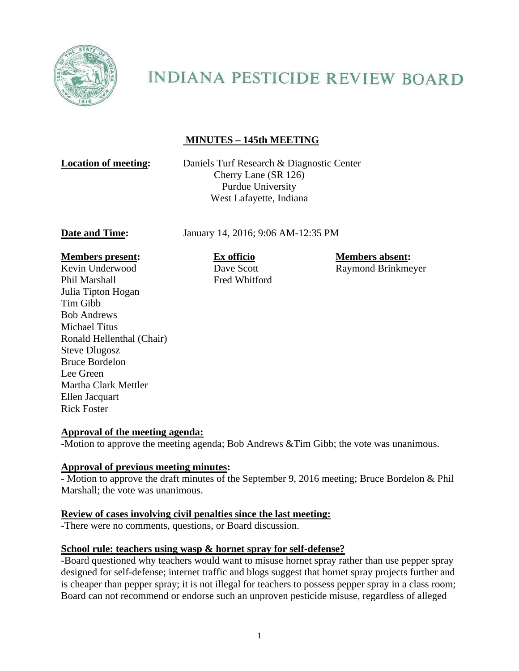

# **INDIANA PESTICIDE REVIEW BOARD**

## **MINUTES – 145th MEETING**

**Location of meeting:** Daniels Turf Research & Diagnostic Center Cherry Lane (SR 126) Purdue University West Lafayette, Indiana

**Date and Time:** January 14, 2016; 9:06 AM-12:35 PM

#### **Members present: Ex officio Members absent: Members absent:**

Kevin Underwood Dave Scott Raymond Brinkmeyer Phil Marshall **Fred Whitford** Julia Tipton Hogan Tim Gibb Bob Andrews Michael Titus Ronald Hellenthal (Chair) Steve Dlugosz Bruce Bordelon Lee Green Martha Clark Mettler Ellen Jacquart Rick Foster

#### **Approval of the meeting agenda:**

-Motion to approve the meeting agenda; Bob Andrews &Tim Gibb; the vote was unanimous.

#### **Approval of previous meeting minutes:**

- Motion to approve the draft minutes of the September 9, 2016 meeting; Bruce Bordelon & Phil Marshall; the vote was unanimous.

#### **Review of cases involving civil penalties since the last meeting:**

-There were no comments, questions, or Board discussion.

#### **School rule: teachers using wasp & hornet spray for self-defense?**

-Board questioned why teachers would want to misuse hornet spray rather than use pepper spray designed for self-defense; internet traffic and blogs suggest that hornet spray projects further and is cheaper than pepper spray; it is not illegal for teachers to possess pepper spray in a class room; Board can not recommend or endorse such an unproven pesticide misuse, regardless of alleged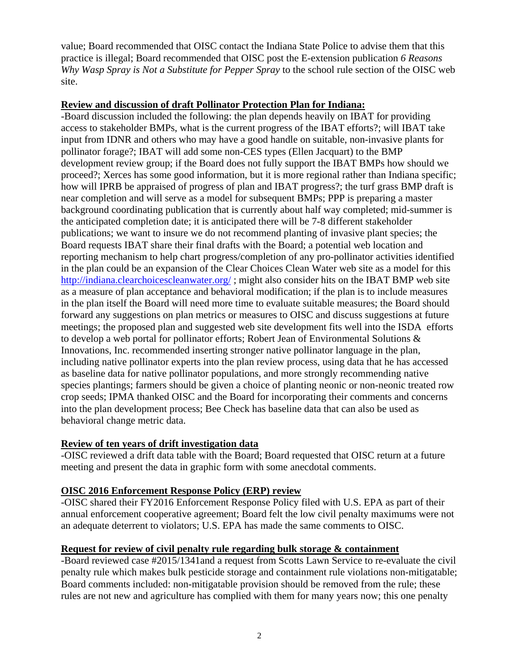value; Board recommended that OISC contact the Indiana State Police to advise them that this practice is illegal; Board recommended that OISC post the E-extension publication *6 Reasons Why Wasp Spray is Not a Substitute for Pepper Spray* to the school rule section of the OISC web site.

#### **Review and discussion of draft Pollinator Protection Plan for Indiana:**

-Board discussion included the following: the plan depends heavily on IBAT for providing access to stakeholder BMPs, what is the current progress of the IBAT efforts?; will IBAT take input from IDNR and others who may have a good handle on suitable, non-invasive plants for pollinator forage?; IBAT will add some non-CES types (Ellen Jacquart) to the BMP development review group; if the Board does not fully support the IBAT BMPs how should we proceed?; Xerces has some good information, but it is more regional rather than Indiana specific; how will IPRB be appraised of progress of plan and IBAT progress?; the turf grass BMP draft is near completion and will serve as a model for subsequent BMPs; PPP is preparing a master background coordinating publication that is currently about half way completed; mid-summer is the anticipated completion date; it is anticipated there will be 7-8 different stakeholder publications; we want to insure we do not recommend planting of invasive plant species; the Board requests IBAT share their final drafts with the Board; a potential web location and reporting mechanism to help chart progress/completion of any pro-pollinator activities identified in the plan could be an expansion of the Clear Choices Clean Water web site as a model for this http://indiana.clearchoicescleanwater.org/ ; might also consider hits on the IBAT BMP web site as a measure of plan acceptance and behavioral modification; if the plan is to include measures in the plan itself the Board will need more time to evaluate suitable measures; the Board should forward any suggestions on plan metrics or measures to OISC and discuss suggestions at future meetings; the proposed plan and suggested web site development fits well into the ISDA efforts to develop a web portal for pollinator efforts; Robert Jean of Environmental Solutions & Innovations, Inc. recommended inserting stronger native pollinator language in the plan, including native pollinator experts into the plan review process, using data that he has accessed as baseline data for native pollinator populations, and more strongly recommending native species plantings; farmers should be given a choice of planting neonic or non-neonic treated row crop seeds; IPMA thanked OISC and the Board for incorporating their comments and concerns into the plan development process; Bee Check has baseline data that can also be used as behavioral change metric data.

### **Review of ten years of drift investigation data**

-OISC reviewed a drift data table with the Board; Board requested that OISC return at a future meeting and present the data in graphic form with some anecdotal comments.

### **OISC 2016 Enforcement Response Policy (ERP) review**

-OISC shared their FY2016 Enforcement Response Policy filed with U.S. EPA as part of their annual enforcement cooperative agreement; Board felt the low civil penalty maximums were not an adequate deterrent to violators; U.S. EPA has made the same comments to OISC.

### **Request for review of civil penalty rule regarding bulk storage & containment**

-Board reviewed case #2015/1341and a request from Scotts Lawn Service to re-evaluate the civil penalty rule which makes bulk pesticide storage and containment rule violations non-mitigatable; Board comments included: non-mitigatable provision should be removed from the rule; these rules are not new and agriculture has complied with them for many years now; this one penalty